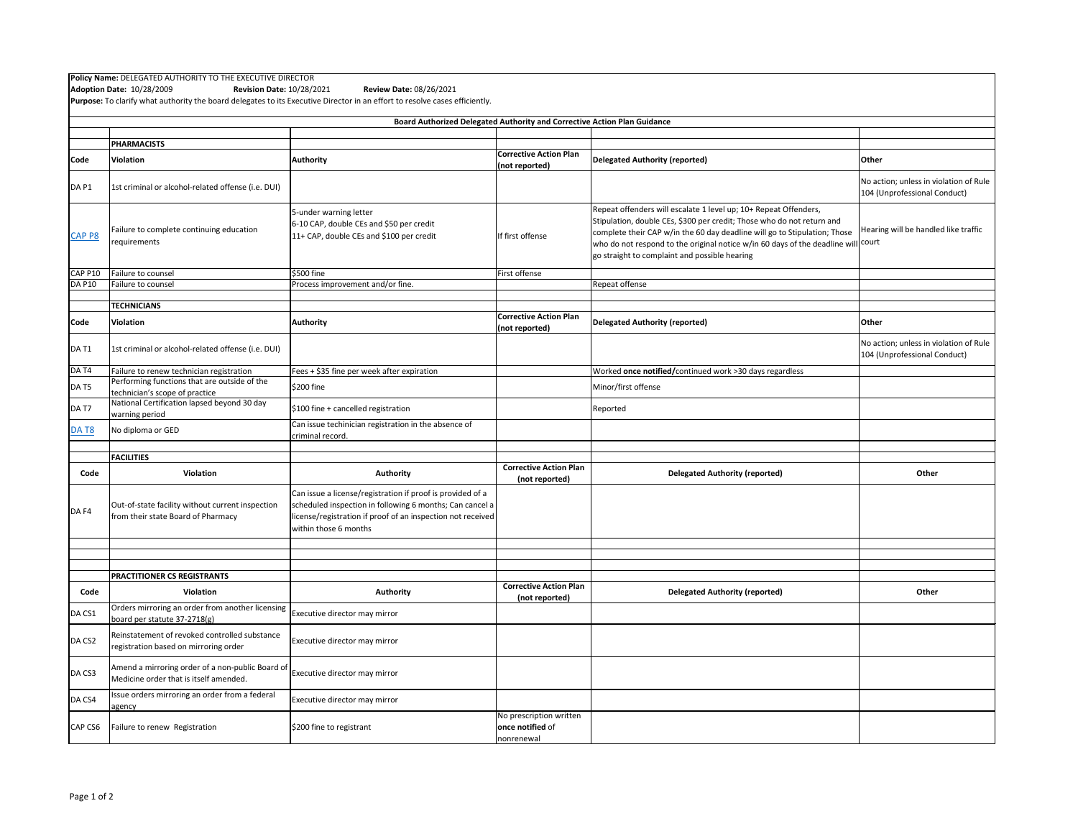|                                                                   | Other                                                                  |
|-------------------------------------------------------------------|------------------------------------------------------------------------|
|                                                                   | No action; unless in violation of Rule<br>104 (Unprofessional Conduct) |
| enders,<br>ot return and<br>ipulation; Those<br>the deadline will | Hearing will be handled like traffic<br>court                          |
|                                                                   |                                                                        |
|                                                                   |                                                                        |
|                                                                   |                                                                        |
|                                                                   | Other                                                                  |
|                                                                   | No action; unless in violation of Rule<br>104 (Unprofessional Conduct) |
| <u>SS</u>                                                         |                                                                        |
|                                                                   |                                                                        |
|                                                                   |                                                                        |
|                                                                   |                                                                        |
|                                                                   |                                                                        |
|                                                                   | Other                                                                  |
|                                                                   |                                                                        |
|                                                                   |                                                                        |
|                                                                   |                                                                        |
|                                                                   |                                                                        |
|                                                                   |                                                                        |
|                                                                   | Other                                                                  |
|                                                                   |                                                                        |
|                                                                   |                                                                        |
|                                                                   |                                                                        |
|                                                                   |                                                                        |
|                                                                   |                                                                        |

| Board Authorized Delegated Authority and Corrective Action Plan Guidance |                                                                                                                                  |                                                                                                                                                                                                                |                                                           |                                                                                                                                                                                                                                                                                                                                                               |                                                                        |  |  |  |
|--------------------------------------------------------------------------|----------------------------------------------------------------------------------------------------------------------------------|----------------------------------------------------------------------------------------------------------------------------------------------------------------------------------------------------------------|-----------------------------------------------------------|---------------------------------------------------------------------------------------------------------------------------------------------------------------------------------------------------------------------------------------------------------------------------------------------------------------------------------------------------------------|------------------------------------------------------------------------|--|--|--|
|                                                                          |                                                                                                                                  |                                                                                                                                                                                                                |                                                           |                                                                                                                                                                                                                                                                                                                                                               |                                                                        |  |  |  |
|                                                                          | <b>PHARMACISTS</b>                                                                                                               |                                                                                                                                                                                                                |                                                           |                                                                                                                                                                                                                                                                                                                                                               |                                                                        |  |  |  |
| <b>Code</b>                                                              | <b>Violation</b>                                                                                                                 | <b>Authority</b>                                                                                                                                                                                               | <b>Corrective Action Plan</b><br>(not reported)           | <b>Delegated Authority (reported)</b>                                                                                                                                                                                                                                                                                                                         | <b>Other</b>                                                           |  |  |  |
| DA P1                                                                    | 1st criminal or alcohol-related offense (i.e. DUI)                                                                               |                                                                                                                                                                                                                |                                                           |                                                                                                                                                                                                                                                                                                                                                               | No action; unless in violation of Rule<br>104 (Unprofessional Conduct) |  |  |  |
| <b>CAP P8</b>                                                            | Failure to complete continuing education<br>requirements                                                                         | 5-under warning letter<br>6-10 CAP, double CEs and \$50 per credit<br>11+ CAP, double CEs and \$100 per credit                                                                                                 | If first offense                                          | Repeat offenders will escalate 1 level up; 10+ Repeat Offenders,<br>Stipulation, double CEs, \$300 per credit; Those who do not return and<br>complete their CAP w/in the 60 day deadline will go to Stipulation; Those<br>who do not respond to the original notice w/in 60 days of the deadline will court<br>go straight to complaint and possible hearing | Hearing will be handled like traffic                                   |  |  |  |
| CAP <sub>P10</sub>                                                       | Failure to counsel                                                                                                               | \$500 fine                                                                                                                                                                                                     | First offense                                             |                                                                                                                                                                                                                                                                                                                                                               |                                                                        |  |  |  |
| <b>DA P10</b>                                                            | Failure to counsel                                                                                                               | Process improvement and/or fine.                                                                                                                                                                               |                                                           | Repeat offense                                                                                                                                                                                                                                                                                                                                                |                                                                        |  |  |  |
|                                                                          | <b>TECHNICIANS</b>                                                                                                               |                                                                                                                                                                                                                |                                                           |                                                                                                                                                                                                                                                                                                                                                               |                                                                        |  |  |  |
| <b>Code</b>                                                              | <b>Violation</b>                                                                                                                 | <b>Authority</b>                                                                                                                                                                                               | <b>Corrective Action Plan</b><br>(not reported)           | <b>Delegated Authority (reported)</b>                                                                                                                                                                                                                                                                                                                         | <b>Other</b>                                                           |  |  |  |
| DA T1                                                                    | 1st criminal or alcohol-related offense (i.e. DUI)                                                                               |                                                                                                                                                                                                                |                                                           |                                                                                                                                                                                                                                                                                                                                                               | No action; unless in violation of Rule<br>104 (Unprofessional Conduct) |  |  |  |
| DA T4                                                                    | Failure to renew technician registration                                                                                         | Fees + \$35 fine per week after expiration                                                                                                                                                                     |                                                           | Worked once notified/continued work >30 days regardless                                                                                                                                                                                                                                                                                                       |                                                                        |  |  |  |
| DA T5                                                                    | Performing functions that are outside of the<br>technician's scope of practice                                                   | \$200 fine                                                                                                                                                                                                     |                                                           | Minor/first offense                                                                                                                                                                                                                                                                                                                                           |                                                                        |  |  |  |
| DA T7                                                                    | National Certification lapsed beyond 30 day<br>warning period                                                                    | $$100$ fine + cancelled registration                                                                                                                                                                           |                                                           | Reported                                                                                                                                                                                                                                                                                                                                                      |                                                                        |  |  |  |
| DA T8                                                                    | No diploma or GED                                                                                                                | Can issue techinician registration in the absence of<br>criminal record.                                                                                                                                       |                                                           |                                                                                                                                                                                                                                                                                                                                                               |                                                                        |  |  |  |
|                                                                          | <b>FACILITIES</b>                                                                                                                |                                                                                                                                                                                                                |                                                           |                                                                                                                                                                                                                                                                                                                                                               |                                                                        |  |  |  |
| Code                                                                     | Violation                                                                                                                        | <b>Authority</b>                                                                                                                                                                                               | <b>Corrective Action Plan</b><br>(not reported)           | <b>Delegated Authority (reported)</b>                                                                                                                                                                                                                                                                                                                         | Other                                                                  |  |  |  |
| DA <sub>F4</sub>                                                         | Out-of-state facility without current inspection<br>from their state Board of Pharmacy                                           | Can issue a license/registration if proof is provided of a<br>scheduled inspection in following 6 months; Can cancel a<br>license/registration if proof of an inspection not received<br>within those 6 months |                                                           |                                                                                                                                                                                                                                                                                                                                                               |                                                                        |  |  |  |
|                                                                          |                                                                                                                                  |                                                                                                                                                                                                                |                                                           |                                                                                                                                                                                                                                                                                                                                                               |                                                                        |  |  |  |
|                                                                          |                                                                                                                                  |                                                                                                                                                                                                                |                                                           |                                                                                                                                                                                                                                                                                                                                                               |                                                                        |  |  |  |
|                                                                          | PRACTITIONER CS REGISTRANTS                                                                                                      |                                                                                                                                                                                                                |                                                           |                                                                                                                                                                                                                                                                                                                                                               |                                                                        |  |  |  |
| Code                                                                     | Violation                                                                                                                        | <b>Authority</b>                                                                                                                                                                                               | <b>Corrective Action Plan</b><br>(not reported)           | <b>Delegated Authority (reported)</b>                                                                                                                                                                                                                                                                                                                         | Other                                                                  |  |  |  |
| DA CS1                                                                   | Orders mirroring an order from another licensing<br>board per statute 37-2718(g)                                                 | Executive director may mirror                                                                                                                                                                                  |                                                           |                                                                                                                                                                                                                                                                                                                                                               |                                                                        |  |  |  |
| DA CS2                                                                   | Reinstatement of revoked controlled substance<br>registration based on mirroring order                                           | Executive director may mirror                                                                                                                                                                                  |                                                           |                                                                                                                                                                                                                                                                                                                                                               |                                                                        |  |  |  |
| DA CS3                                                                   | Amend a mirroring order of a non-public Board of $\Big $ Executive director may mirror<br>Medicine order that is itself amended. |                                                                                                                                                                                                                |                                                           |                                                                                                                                                                                                                                                                                                                                                               |                                                                        |  |  |  |
| DA CS4                                                                   | Issue orders mirroring an order from a federal<br>agency                                                                         | Executive director may mirror                                                                                                                                                                                  |                                                           |                                                                                                                                                                                                                                                                                                                                                               |                                                                        |  |  |  |
| CAP CS6                                                                  | Failure to renew Registration                                                                                                    | \$200 fine to registrant                                                                                                                                                                                       | No prescription written<br>once notified of<br>nonrenewal |                                                                                                                                                                                                                                                                                                                                                               |                                                                        |  |  |  |

**Policy Name: DELEGATED AUTHORITY TO THE EXECUTIVE DIRECTOR<br>Adoption Date: 10/28/2009 Revision Date: 10/28/2021 Adoption Date:** 10/28/2009 **Revision Date:** 10/28/2021 **Review Date:** 08/26/2021

**Purpose:** To clarify what authority the board delegates to its Executive Director in an effort to resolve cases efficiently.